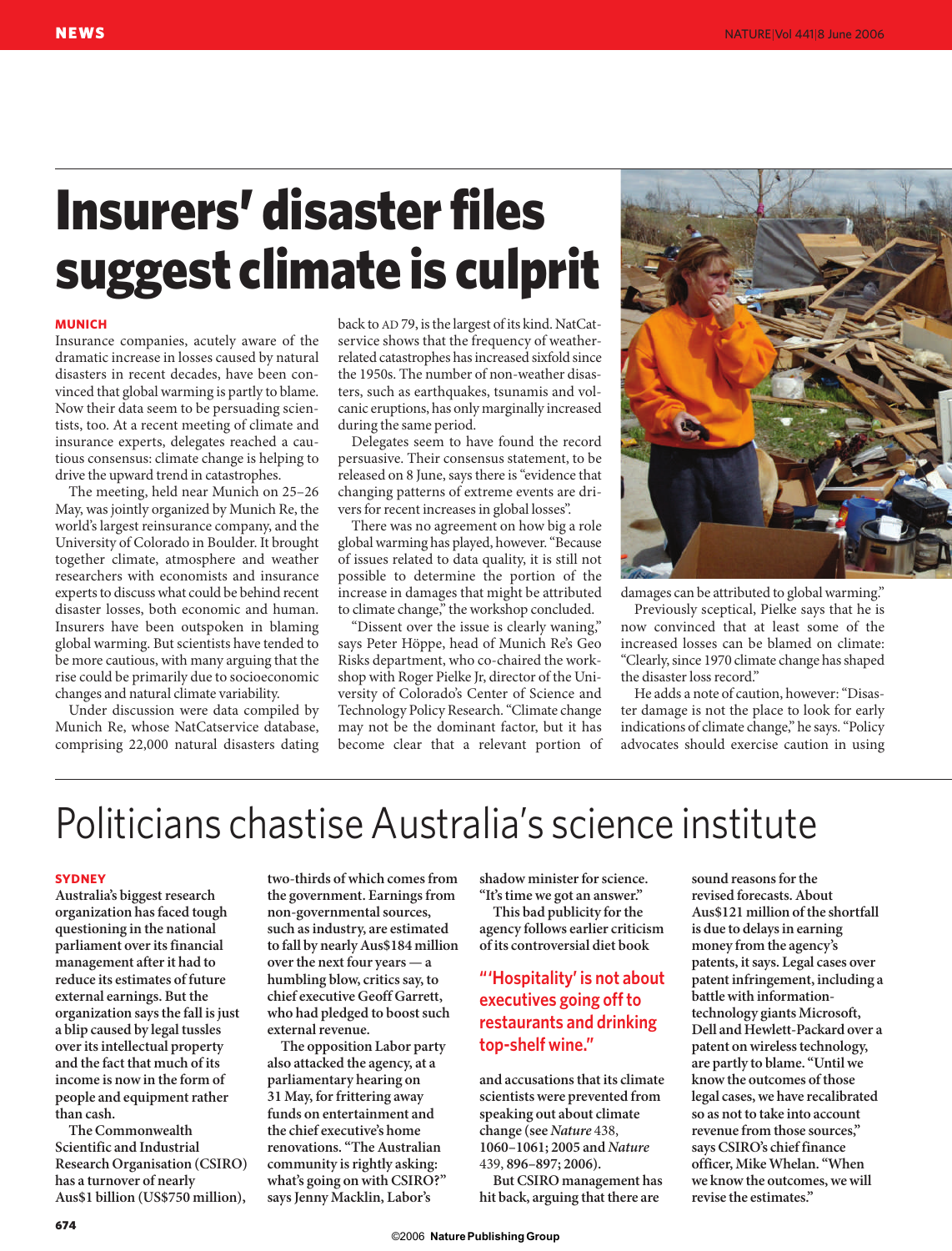# Insurers' disaster files suggest climate is culprit

#### **MUNICH**

Insurance companies, acutely aware of the dramatic increase in losses caused by natural disasters in recent decades, have been convinced that global warming is partly to blame. Now their data seem to be persuading scientists, too. At a recent meeting of climate and insurance experts, delegates reached a cautious consensus: climate change is helping to drive the upward trend in catastrophes.

The meeting, held near Munich on 25–26 May, was jointly organized by Munich Re, the world's largest reinsurance company, and the University of Colorado in Boulder. It brought together climate, atmosphere and weather researchers with economists and insurance experts to discuss what could be behind recent disaster losses, both economic and human. Insurers have been outspoken in blaming global warming. But scientists have tended to be more cautious, with many arguing that the rise could be primarily due to socioeconomic changes and natural climate variability.

Under discussion were data compiled by Munich Re, whose NatCatservice database, comprising 22,000 natural disasters dating

back to AD 79, is the largest of its kind. NatCatservice shows that the frequency of weatherrelated catastrophes has increased sixfold since the 1950s. The number of non-weather disasters, such as earthquakes, tsunamis and volcanic eruptions, has only marginally increased during the same period.

Delegates seem to have found the record persuasive. Their consensus statement, to be released on 8 June, says there is "evidence that changing patterns of extreme events are drivers for recent increases in global losses".

There was no agreement on how big a role global warming has played, however. "Because of issues related to data quality, it is still not possible to determine the portion of the increase in damages that might be attributed to climate change," the workshop concluded.

"Dissent over the issue is clearly waning," says Peter Höppe, head of Munich Re's Geo Risks department, who co-chaired the workshop with Roger Pielke Jr, director of the University of Colorado's Center of Science and Technology Policy Research. "Climate change may not be the dominant factor, but it has become clear that a relevant portion of



damages can be attributed to global warming."

Previously sceptical, Pielke says that he is now convinced that at least some of the increased losses can be blamed on climate: "Clearly, since 1970 climate change has shaped the disaster loss record."

He adds a note of caution, however: "Disaster damage is not the place to look for early indications of climate change," he says. "Policy advocates should exercise caution in using

## Politicians chastise Australia's science institute

#### **SYDNEY**

**Australia's biggest research organization has faced tough questioning in the national parliament over its financial management after it had to reduce its estimates of future external earnings. But the organization says the fall is just a blip caused by legal tussles over its intellectual property and the fact that much of its income is now in the form of people and equipment rather than cash.**

**The Commonwealth Scientific and Industrial Research Organisation (CSIRO) has a turnover of nearly Aus\$1 billion (US\$750 million),**

**two-thirds of which comes from the government. Earnings from non-governmental sources, such as industry, are estimated to fall by nearly Aus\$184 million over the next four years — a humbling blow, critics say, to chief executive Geoff Garrett, who had pledged to boost such external revenue.**

**The opposition Labor party also attacked the agency, at a parliamentary hearing on 31 May, for frittering away funds on entertainment and the chief executive's home renovations. "The Australian community is rightly asking: what's going on with CSIRO?" says Jenny Macklin, Labor's**

**shadow minister for science. "It's time we got an answer."**

**This bad publicity for the agency follows earlier criticism of its controversial diet book**

### **"'Hospitality' is not about executives going off to restaurants and drinking top-shelf wine."**

**and accusations that its climate scientists were prevented from speaking out about climate change (see** *Nature* 438, **1060–1061; 2005 and** *Nature* 439, **896–897; 2006).**

**But CSIRO management has hit back, arguing that there are**

**sound reasons for the revised forecasts. About Aus\$121 million of the shortfall is due to delays in earning money from the agency's patents, it says. Legal cases over patent infringement, including a battle with informationtechnology giants Microsoft, Dell and Hewlett-Packard over a patent on wireless technology, are partly to blame. "Until we know the outcomes of those legal cases, we have recalibrated so as not to take into account revenue from those sources," says CSIRO's chief finance officer, Mike Whelan. "When we know the outcomes, we will revise the estimates."**